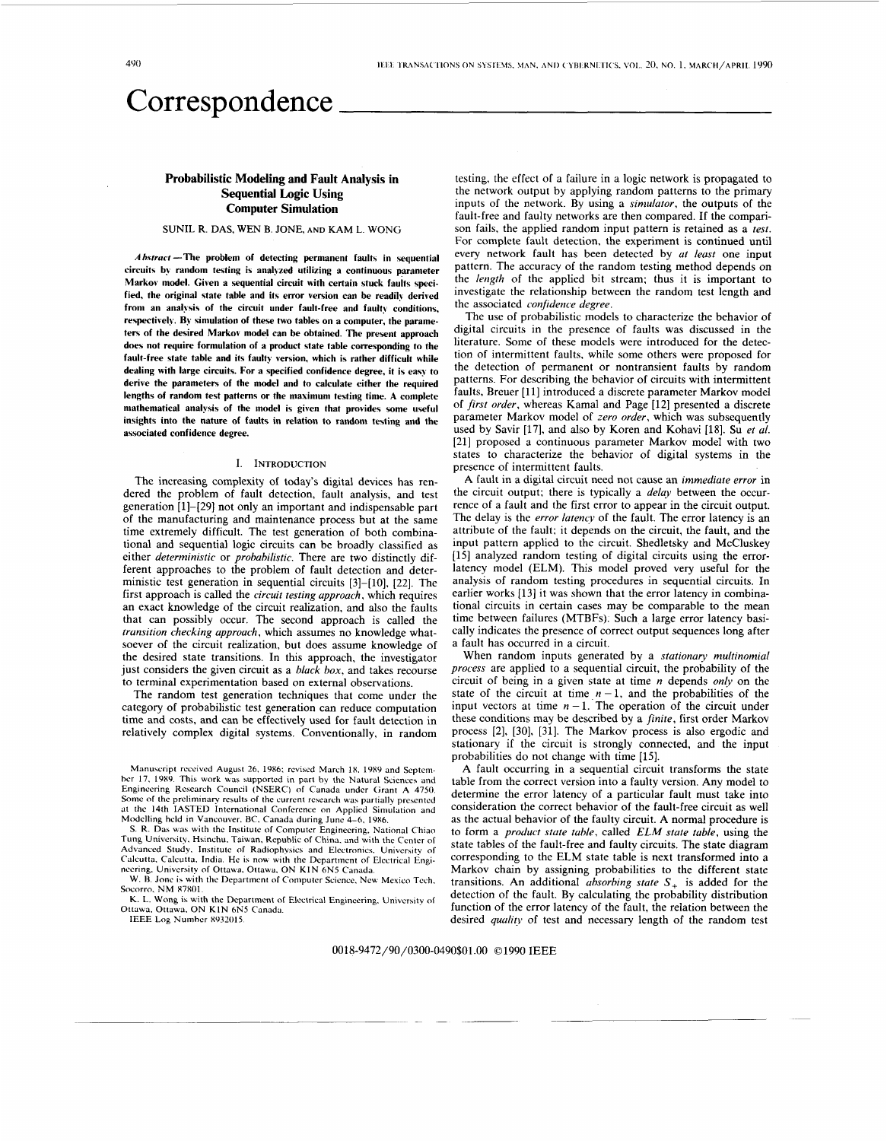# Correspondence

# **Probabilistic Modeling and Fault Analysis in Sequential Logic Using Computer Simulation**

#### SUNIL **R.** DAS, WEN **B.** JONE, AND KAM L. WONG

*A lisfruct* **-The problem of detecting permanent faults in sequential circuits by random testing is analysed utilizing a continuous parameter Markov model. Given a sequential circuit with certain stuck faults speci**fied, the original state table and its error version can be readily derived from an analysis of the circuit under fault-free and faulty conditions, **respectively. By simulation of these two tables on a computer, the parameters of the desired Markov model can be obtained. The present approach does not require formulation of a product state table corresponding to the fault-free state table and its faulty version, which is rather difficult while dealing with large circuits. For a specified confidence degree, it is easy to derive the parameters of the model and to calculate either the required lengths of random test patterns or the maximum testing time. A complete mathematical analysis of the model is given that provides some useful insights into the nature of faults in relation to random testing and the associated confidence degree.** 

#### I. **INTRODUCTION**

The increasing complexity of today's digital devices has rendered the problem of fault detection, fault analysis, and test generation [1]-[29] not only an important and indispensable part of the manufacturing and maintenance process but at the same time extremely difficult. The test generation of both combinational and sequential logic circuits can be broadly classified as either *deterministic* or *probabilistic*. There are two distinctly different approaches to the problem of fault detection and deterministic test generation in sequential circuits [3]-[IO], [22]. The first approach is called the *circuit testing upprouch,* which requires an exact knowledge of the circuit realization, and also the faults that can possibly occur. The second approach is called the *trunsition checking upprouch* , which assumes no knowledge whatsoever of the circuit realization, but does assume knowledge of the desired state transitions. In this approach, the investigator just considers the given circuit as a *black box*, and takes recourse to terminal experimentation based on external observations.

The random test generation techniques that come under the category of probabilistic test generation can reduce computation time and costs, and can be effectively used for fault detection in relatively complex digital systems. Conventionally, in random

Manuscript received August 26, 1986; revised March 18, 1989 and September 17, 1989. This work was supported in part by the Natural Sciences and<br>Engineering Research Council (NSERC) of Canada under Grant A 4750. Some of the preliminary results of the current research was partially presented at the 14th IASTED International Conference on Applied Simulation and Modelling held in Vancouver. BC. Canada during June 4-6, 19x6.

**S.** R. Das was with the Institute of Computer Engineering, National Chiao Tung University. Hsinchu. Taiwan, Republic of China. and with the Center of Advanced Study. Institute of Radiophysics and Electronics. University of Calcutta. Calcutta. India. He is now with the Department of Electrical Engineering. University of Ottawa. Ottawa. ON K1N 6N5 Canada.<br>W. B. Jone is with the Department of Computer Science, New Mexico Tech.

Socorro. NM 87801

K. L. Wong is with the Department of Electrical Engineering, Universitv of Ottawa. Ottawa. ON K1N 6N5 Canada. IEEE Log Number 8932015.

testing, the effect of a failure in a logic network is propagated to the network output by applying random patterns to the primary inputs of the network. By using a *simulutor,* the outputs of the fault-free and faulty networks are then compared. If the comparison fails, the applied random input pattern is retained as a *test.*  For complete fault detection, the experiment is continued until every network fault has been detected by *ut least* one input pattern. The accuracy of the random testing method depends on the *length* of the applied bit stream; thus it is important to investigate the relationship between the random test length and the associated *confidence degree.* 

The use of probabilistic models to characterize the behavior of digital circuits in the presence of faults was discussed in the literature. Some of these models were introduced for the detection of intermittent faults, while some others were proposed for the detection of permanent or nontransient faults by random patterns. For describing the behavior of circuits with intermittent faults, Breuer [ll] introduced a discrete parameter Markov model of *first order,* whereas Kamal and Page [12] presented a discrete parameter Markov model of *zero order,* which **was** subsequently used by Savir [17], and also by Koren and Kohavi [18]. **Su** *et ul.*  [21] proposed a continuous parameter Markov model with two states to characterize the behavior of digital systems in the presence of intermittent faults.

**A** fault in a digital circuit need not cause an *immediute error* in the circuit output; there is typically a *dehy* between the occurrence of a fault and the first error to appear in the circuit output. The delay is the *error latency* of the fault. The error latency is an attribute of the fault: it depends on the circuit, the fault, and the input pattern applied to the circuit. Shedletsky and McCluskey [15] analyzed random testing of digital circuits using the errorlatency model (ELM). This model proved very useful for the analysis of random testing procedures in sequential circuits. In earlier works [13] it was shown that the error latency in combinational circuits in certain cases may be comparable to the mean time between failures (MTBFs). Such a large error latency basically indicates the presence of correct output sequences long after a fault has occurred in a circuit.

When random inputs generated by a *stationary multinomial process* are applied to a sequential circuit, the probability of the circuit of being in a given state at time *n* depends *only* on the state of the circuit at time  $n-1$ , and the probabilities of the input vectors at time  $n - 1$ . The operation of the circuit under these conditions may be described by a *finite,* first order Markov process [2], [30], [31]. The Markov process is also ergodic and stationary if the circuit is strongly connected, and the input probabilities do not change with time [15].

A fault occurring in a sequential circuit transforms the state table from the correct version into a faulty version. Any model to determine the error latency of a particular fault must take into consideration the correct behavior of the fault-free circuit as well as the actual behavior of the faulty circuit. A normal procedure is to form a *product stute tuhle,* called *ELM stute tuhle,* using the state tables of the fault-free and faulty circuits. The state diagram corresponding to the ELM state table is next transformed into a Markov chain by assigning probabilities to the different state transitions. An additional *uhsorbing stute S,* **is** added for the detection of the fault. By calculating the probability distribution function of the error latency of the fault, the relation between the desired *quulity* of test and necessary length of the random test

#### 0018-9472/90/0300-0490\$01.00 01990 IEEE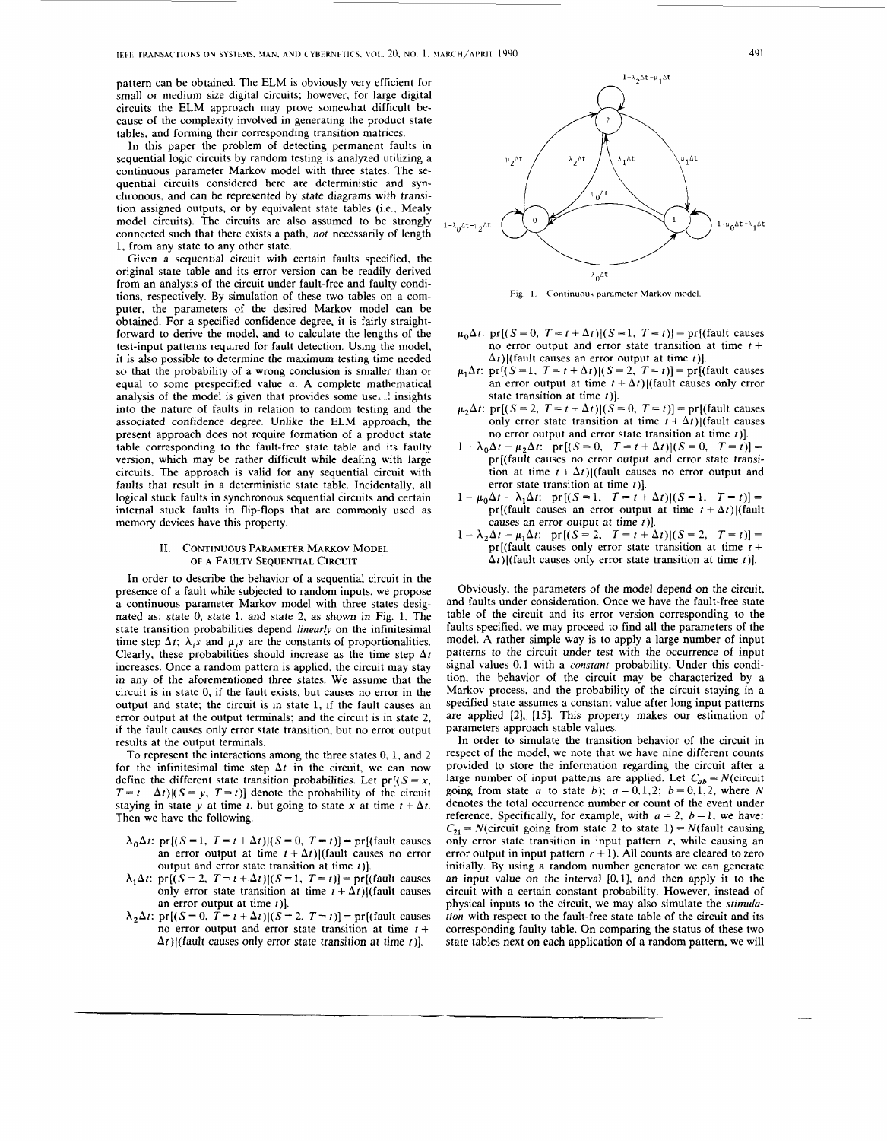pattern can be obtained. The ELM is obviously very efficient for small or medium size digital circuits; however, for large digital circuits the ELM approach may prove somewhat difficult because of the complexity involved in generating the product state tables, and forming their corresponding transition matrices.

In this paper the problem of detecting permanent faults in sequential logic circuits by random testing is analyzed utilizing a continuous parameter Markov model with three states. The sequential circuits considered here are deterministic and synchronous, and can be represented by state diagrams with transition assigned outputs, or by equivalent state tables (i.e., Mealy model circuits). The circuits are also assumed to be strongly connected such that there exists a path, *not* necessarily of length 1, from any state to any other state.

Given a sequential circuit with certain faults specified, the original state table and its error version can be readily derived from an analysis of the circuit under fault-free and faulty conditions, respectively. By simulation of these two tables on a computer, the parameters of the desired Markov model can be obtained. For a specified confidence degree, it is fairly straightforward to derive the model, and to calculate the lengths of the test-input patterns required for fault detection. Using the model, it is also possible to determine the maximum testing time needed **so** that the probability of a wrong conclusion is smaller than or equal to some prespecified value *a.* A complete mathematical analysis of the model is given that provides some use.  $\perp$  insights into the nature of faults in relation to random testing and the associated confidence degree. Unlike the ELM approach, the present approach does not require formation of a product state table corresponding to the fault-free state table and its faulty version, which may be rather difficult while dealing with large circuits. The approach is valid for any sequential circuit with faults that result in a deterministic state table. Incidentally, all logical stuck faults in synchronous sequential circuits and certain internal stuck faults in flip-flops that are commonly used as memory devices have this property.

#### 11. **CONTINUOUS PARAMETER** MARKOV **MODEL OF A FAULTY SEQUENTIAL CIRCUIT**

In order to describe the behavior of a sequential circuit in the presence of a fault while subjected to random inputs, we propose a continuous parameter Markov model with three states designated as: state 0, state 1, and state 2, as shown in Fig. 1. The state transition probabilities depend *Irneurlv* on the infinitesimal time step  $\Delta t$ ;  $\lambda_i s$  and  $\mu_i s$  are the constants of proportionalities. Clearly, these probabilities should increase as the time step  $\Delta t$ increases. Once a random pattern is applied, the circuit may stay in any of the aforementioned three states. We assume that the circuit is in state 0, if the fault exists, but causes no error in the output and state; the circuit is in state 1, if the fault causes an error output at the output terminals: and the circuit is in state 2, if the fault causes only error state transition, but no error output results at the output terminals.

To represent the interactions among the three states 0, 1. and 2 for the infinitesimal time step  $\Delta t$  in the circuit, we can now define the different state transition probabilities. Let  $pr[(S = x,$  $T = t + \Delta t$  ( $S = v$ ,  $T = t$ )] denote the probability of the circuit staying in state *y* at time *t*, but going to state *x* at time  $t + \Delta t$ . Then we have the following.

- $\lambda_0 \Delta t$ : pr $[(S = 1, T = t + \Delta t)](S = 0, T = t)] =$  pr $[(\text{fault causes})$ an error output at time  $t + \Delta t$ )(fault causes no error output and error state transition at time  $t$ )].
- $\lambda_1 \Delta t$ : pr $[(S=2, T=t+\Delta t)](S=1, T=t)$ ] = pr[(fault causes only error state transition at time  $t + \Delta t$ )(fault causes an error output at time  $t$ ).
- $\lambda_2 \Delta t$ : pr $[(S=0, T=t+\Delta t)](S=2, T=t)$ ] = pr $[(\text{fault causes})$ no error output and error state transition at time *t* +  $\Delta t$ )(fault causes only error state transition at time *t*)),





- $\mu_0 \Delta t$ : pr[( $S = 0$ ,  $T = t + \Delta t$ )]( $S = 1$ ,  $T = t$ )] = pr[(fault causes no error output and error state transition at time *t* +  $\Delta t$ )|(fault causes an error output at time *t*)]
- $\mu_1 \Delta t$ : pr $[(S=1, T=t+\Delta t)](S=2, T=t)$ ] = pr $[(\text{fault causes}$ an error output at time  $t + \Delta t$ )(fault causes only error state transition at time *t)].*
- $\mu_2 \Delta t$ : pr[(S = 2, T = t +  $\Delta t$ )|(S = 0, T = t)] = pr[(fault causes only error state transition at time  $t + \Delta t$ )(fault causes no error output and error state transition at time  $t$ )].
- $1 \lambda_0 \Delta t \mu_2 \Delta t$ : pr $[(S = 0, T = t + \Delta t)](S = 0, T = t)]$ pr[(fault causes no error output and error state transition at time  $t + \Delta t$ )|(fault causes no error output and error state transition at time  $t$ ).
- $1 \mu_0 \Delta t \lambda_1 \Delta t$ : pr  $[(S = 1, T = t + \Delta t)](S = 1, T = t)] =$ pr[(fault causes an error output at time  $t + \Delta t$ )|(fault causes an error output at time *t)].*
- $1 \lambda_2 \Delta t \mu_1 \Delta t$ : pr $[(S = 2, T = t + \Delta t)](S = 2, T = t)]$ pr[(fault causes only error state transition at time  $t +$  $\Delta t$ )(fault causes only error state transition at time *t*)].

Obviously, the parameters of the model depend on the circuit, and faults under consideration. Once we have the fault-free state table of the circuit and its error version corresponding to the faults specified, we may proceed to find all the parameters of the model. **A** rather simple way is to apply a large number of input patterns to the circuit under test with the occurrence of input signal values 0,l with a *constunt* probability. Under this condition, the behavior of the circuit may be characterized by a Markov process, and the probability of the circuit staying in a specified state assumes a constant value after long input patterns are applied [2], [15]. This property makes our estimation of parameters approach stable values.

In order to simulate the transition behavior of the circuit in respect of the model, we note that we have nine different counts provided to store the information regarding the circuit after a large number of input patterns are applied. Let  $C_{ab} = N$ (circuit going from state *u* to state *b*);  $u = 0,1,2$ ;  $b = 0,1,2$ , where *N* denotes the total occurrence number or count of the event under reference. Specifically, for example, with  $a = 2$ ,  $b = 1$ , we have:  $C_{21} = N$ (circuit going from state 2 to state 1) = N(fault causing only error state transition in input pattern *r,* while causing an error output in input pattern  $r + 1$ ). All counts are cleared to zero initially. By using a random number generator we can generate an input value on the interval [0,1]. and then apply it to the circuit with a certain constant probability. However, instead of physical inputs to the circuit, we may also simulate the *stirnuhtion* with respect to the fault-free state table of the circuit and its corresponding faulty table. On comparing the status of these two state tables next on each application of a random pattern, we will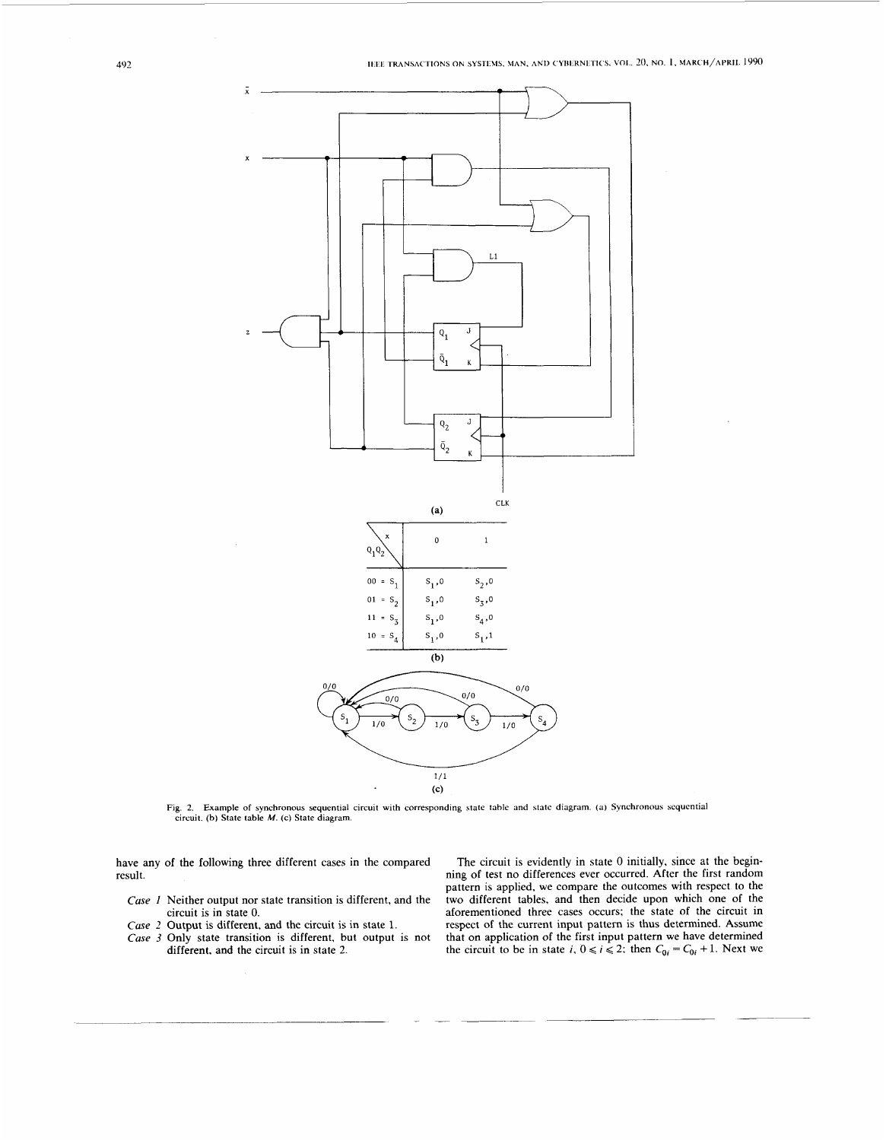

**Fig. 2. Example of synchronous sequential circuit with corresponding state table and statc diagram. (a) Synchronous sequential circuit.** (b) **State table M.** *(c)* **State diagram.** 

have any of the following three different cases in the compared result.

- Case 1 Neither output nor state transition is different, and the circuit is in state 0.
- Case 2 Output is different, and the circuit is in state 1.
- *Case 3* Only state transition is different, but output is not different, and the circuit is in state 2.

The circuit is evidently in state 0 initially, since at the beginning of test no differences ever occurred. After the first random pattern is applied, we compare the outcomes with respect to the two different tables, and then decide upon which one of the aforementioned three cases occurs: the state of the circuit in respect of the current input pattern is thus determined. Assume that on application of the first input pattern we have determined the circuit to be in state *i*,  $0 \le i \le 2$ ; then  $C_{0i} = C_{0i} + 1$ . Next we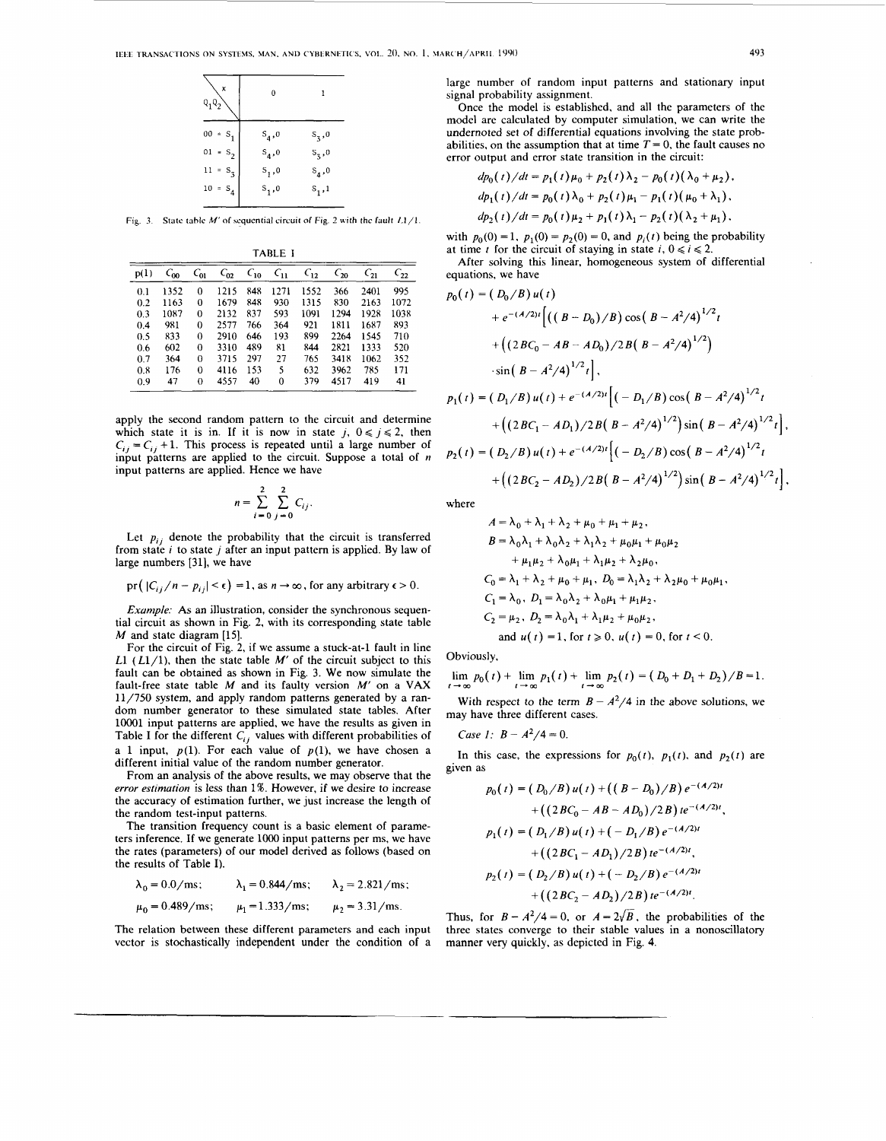|            | 0                               |                     |
|------------|---------------------------------|---------------------|
| $00 = S_1$ | $s_{\mathbf{4}}^{\mathrm{}}$ ,0 | $s_3^{\prime}$ ,0   |
| $01 = S_2$ | $s_{4}^{\prime}, 0$             | $s_{\rm z}$ ,0      |
| $11 = S_3$ | s, 0                            | $s_{4}^{\prime}, 0$ |
| $10 = S_4$ | $\mathbf{p}_1$ ,0               | $s_1, 1$            |
|            |                                 |                     |

Fig. **3 Statc tahlc** *M'* **of sequential circuit of Fig.** 2 **with the** *fault 1.1/1* 

**TABLE I** 

| p(1) | <b>Coo</b> | $\epsilon_{01}$ | $\epsilon_{02}$ | $C_{10}$ | $C_{11}$ | $C_{12}$ | $C_{20}$ | $C_{21}$ | $C_{22}$ |
|------|------------|-----------------|-----------------|----------|----------|----------|----------|----------|----------|
| 0.1  | 1352       | 0               | 1215            | 848      | 1271     | 1552     | 366      | 2401     | 995      |
| 0.2  | 1163       | 0               | 1679            | 848      | 930      | 1315     | 830      | 2163     | 1072     |
| 0.3  | 1087       | 0               | 2132            | 837      | 593      | 1091     | 1294     | 1928     | 1038     |
| 0.4  | 981        | 0               | 2577            | 766      | 364      | 921      | 1811     | 1687     | 893      |
| 0.5  | 833        | 0               | 2910            | 646      | 193      | 899      | 2264     | 1545     | 710      |
| 0.6  | 602        | 0               | 3310            | 489      | 81       | 844      | 2821     | 1333     | 520      |
| 0.7  | 364        | 0               | 3715            | 297      | 27       | 765      | 3418     | 1062     | 352      |
| 0.8  | 176        | 0               | 4116            | 153      | 5        | 632      | 3962     | 785      | 171      |
| 0.9  | 47         | 0               | 4557            | 40       | 0        | 379      | 4517     | 419      | 41       |
|      |            |                 |                 |          |          |          |          |          |          |

apply the second random pattern to the circuit and determine which state it is in. If it is now in state  $j, 0 \le j \le 2$ , then  $C_{ij} = C_{ij} + 1$ . This process is repeated until a large number of input patterns are applied to the circuit. Suppose a total of *n*  input patterns are applied. Hence we have

$$
n = \sum_{i=0}^{2} \sum_{j=0}^{2} C_{ij}.
$$

Let  $p_{ij}$  denote the probability that the circuit is transferred from state *i* to state *j* after an input pattern is applied. By law of large numbers [31], we have

$$
\text{pr}(|C_{ii}/n - p_{ii}| < \epsilon) = 1
$$
, as  $n \to \infty$ , for any arbitrary  $\epsilon > 0$ .

 $Example: As an illustration, consider the synchronous sequen$ tial circuit as shown in Fig. 2, with its corresponding state table  $M$  and state diagram [15].

For the circuit of Fig. 2, if we assume a stuck-at-1 fault in line L1  $(L1/1)$ , then the state table M' of the circuit subject to this fault can be obtained as shown in Fig. 3. We now simulate the fault-free state table M and its faulty version *M'* on a **VAX**  11/750 system, and apply random patterns generated by a random number generator to these simulated state tables. After lo001 input patterns are applied, we have the results as given in Table I for the different  $C_{ij}$  values with different probabilities of a 1 input,  $p(1)$ . For each value of  $p(1)$ , we have chosen a different initial value of the random number generator.

From an analysis of the above results, we may observe that the error estimation is less than 1%. However, if we desire to increase the accuracy of estimation further, we just increase the length of the random test-input patterns.

The transition frequency count is a basic element of parameters inference. If we generate 1000 input patterns per ms, we have the rates (parameters) of our model derived as follows (based on the results of Table I).

$$
\lambda_0 = 0.0 / \text{ms};
$$
\n $\lambda_1 = 0.844 / \text{ms};$ \n $\lambda_2 = 2.821 / \text{ms};$ 

$$
\mu_0 = 0.489/\text{ms};
$$
  $\mu_1 = 1.333/\text{ms};$   $\mu_2 = 3.31/\text{ms}$ 

The relation between these different parameters and each input vector is stochastically independent under the condition of a manner very quickly, as depicted in Fig. 4.

large number of random input patterns and stationary input signal probability assignment.

Once the model is established, and all the parameters of the model are calculated by computer simulation, we can write the undernoted set of differential equations involving the state probabilities, on the assumption that at time  $T = 0$ , the fault causes no error output and error state transition in the circuit:

$$
dp_0(t)/dt = p_1(t)\mu_0 + p_2(t)\lambda_2 - p_0(t)(\lambda_0 + \mu_2),
$$
  
\n
$$
dp_1(t)/dt = p_0(t)\lambda_0 + p_2(t)\mu_1 - p_1(t)(\mu_0 + \lambda_1),
$$
  
\n
$$
dp_2(t)/dt = p_0(t)\mu_2 + p_1(t)\lambda_1 - p_2(t)(\lambda_2 + \mu_1),
$$

with  $p_0(0) = 1$ ,  $p_1(0) = p_2(0) = 0$ , and  $p_i(t)$  being the probability at time *t* for the circuit of staying in state  $i, 0 \le i \le 2$ .

After solving this linear, homogeneous system of differential equations, we have

$$
p_0(t) = (D_0/B) u(t)
$$
  
+  $e^{-(A/2)t} \Big[ ((B - D_0)/B) \cos (B - A^2/4)^{1/2} t$   
+  $((2BC_0 - AB - AD_0)/2B(B - A^2/4)^{1/2})$   
 $\cdot \sin (B - A^2/4)^{1/2} t \Big],$   

$$
p_1(t) = (D_1/B) u(t) + e^{-(A/2)t} \Big[ (-D_1/B) \cos (B - A^2/4)^{1/2} t
$$
  
+  $((2BC_1 - AD_1)/2B(B - A^2/4)^{1/2}) \sin (B - A^2/4)^{1/2} t \Big],$   

$$
p_2(t) = (D_2/B) u(t) + e^{-(A/2)t} \Big[ (-D_2/B) \cos (B - A^2/4)^{1/2} t
$$
  
+  $((2BC_2 - AD_2)/2B(B - A^2/4)^{1/2}) \sin (B - A^2/4)^{1/2} t \Big],$ 

where

$$
A = \lambda_0 + \lambda_1 + \lambda_2 + \mu_0 + \mu_1 + \mu_2,
$$
  
\n
$$
B = \lambda_0 \lambda_1 + \lambda_0 \lambda_2 + \lambda_1 \lambda_2 + \mu_0 \mu_1 + \mu_0 \mu_2 + \mu_1 \mu_2 + \lambda_0 \mu_1 + \lambda_1 \mu_2 + \lambda_2 \mu_0,
$$
  
\n
$$
C_0 = \lambda_1 + \lambda_2 + \mu_0 + \mu_1, D_0 = \lambda_1 \lambda_2 + \lambda_2 \mu_0 + \mu_0 \mu_1,
$$
  
\n
$$
C_1 = \lambda_0, D_1 = \lambda_0 \lambda_2 + \lambda_0 \mu_1 + \mu_1 \mu_2,
$$
  
\n
$$
C_2 = \mu_2, D_2 = \lambda_0 \lambda_1 + \lambda_1 \mu_2 + \mu_0 \mu_2,
$$
  
\nand 
$$
u(t) = 1, \text{ for } t \ge 0, u(t) = 0, \text{ for } t < 0.
$$

Obviously.

 $\lim_{t \to \infty} p_0(t) + \lim_{t \to \infty} p_1(t) + \lim_{t \to \infty} p_2(t) = (D_0 + D_1 + D_2)/B = 1.$ 

may have three different cases. With respect to the term  $B - A^2/4$  in the above solutions, we

Case 1: 
$$
B - A^2/4 = 0
$$
.

In this case, the expressions for  $p_0(t)$ ,  $p_1(t)$ , and  $p_2(t)$  are given as

$$
p_0(t) = (D_0/B) u(t) + ((B - D_0)/B) e^{-(A/2)t}
$$
  
+ 
$$
+ ((2BC_0 - AB - AD_0)/2B) t e^{-(A/2)t},
$$
  

$$
p_1(t) = (D_1/B) u(t) + (-D_1/B) e^{-(A/2)t}
$$
  
+ 
$$
+ ((2BC_1 - AD_1)/2B) t e^{-(A/2)t},
$$
  

$$
p_2(t) = (D_2/B) u(t) + (-D_2/B) e^{-(A/2)t}
$$
  
+ 
$$
+ ((2BC_2 - AD_2)/2B) t e^{-(A/2)t}.
$$

Thus, for  $B - A^2/4 = 0$ , or  $A = 2\sqrt{B}$ , the probabilities of the three states converge to their stable values in a nonoscillatory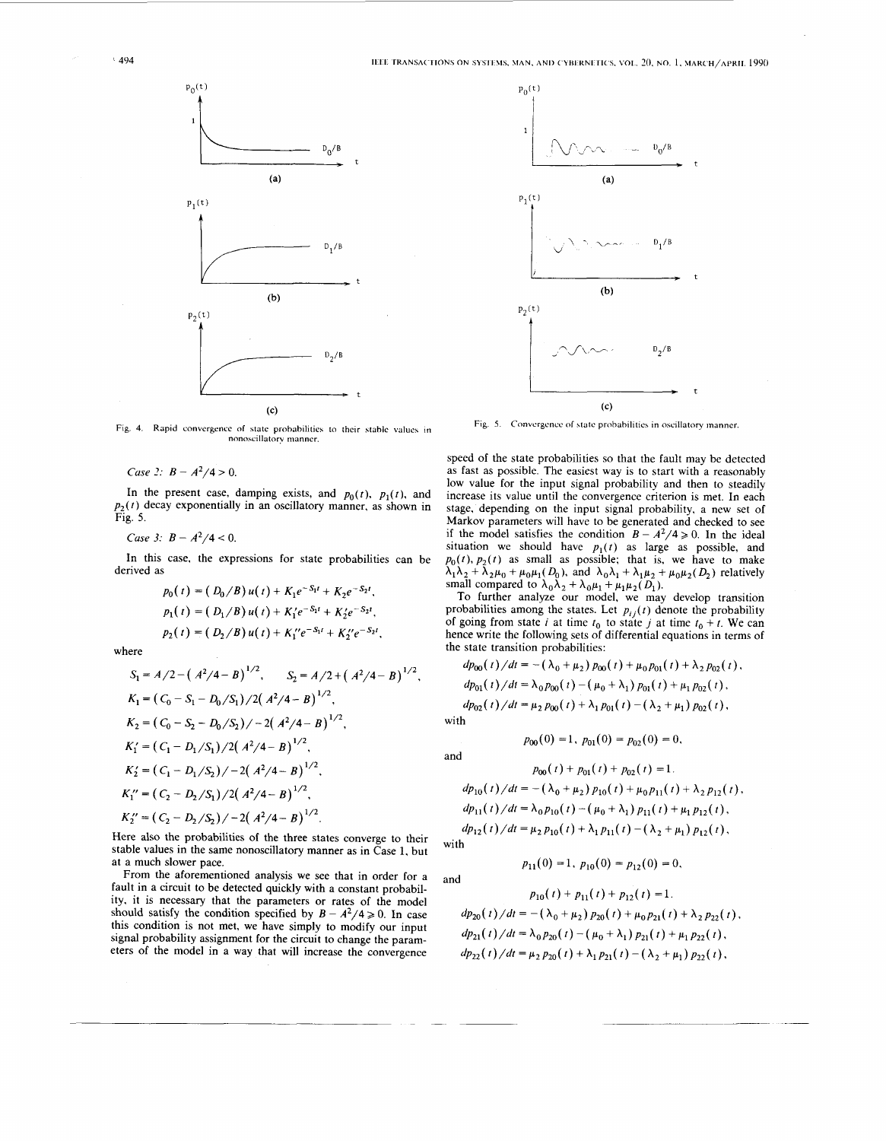

Fig. 4. Rapid convergence of state probabilities to their stable values in nonoscillatory manner.

Case 2:  $B - A^2/4 > 0$ .

In the present case, damping exists, and  $p_0(t)$ ,  $p_1(t)$ , and  $p_2(t)$  decay exponentially in an oscillatory manner, as shown in Fig. 5.

Case 3:  $B - A^2/4 < 0$ .

In this case, the expressions for state probabilities can be derived as

$$
p_0(t) = (D_0/B) u(t) + K_1 e^{-S_1 t} + K_2 e^{-S_2 t},
$$
  
\n
$$
p_1(t) = (D_1/B) u(t) + K_1' e^{-S_1 t} + K_2' e^{-S_2 t},
$$
  
\n
$$
p_2(t) = (D_2/B) u(t) + K_1'' e^{-S_1 t} + K_2'' e^{-S_2 t}
$$

where

$$
S_1 = A/2 - (A^2/4 - B)^{1/2}, \t S_2 = A/2 + (A^2/4 - B)^{1/2}
$$
  
\n
$$
K_1 = (C_0 - S_1 - D_0/S_1)/2(A^2/4 - B)^{1/2},
$$
  
\n
$$
K_2 = (C_0 - S_2 - D_0/S_2)/-2(A^2/4 - B)^{1/2},
$$
  
\n
$$
K_1' = (C_1 - D_1/S_1)/2(A^2/4 - B)^{1/2},
$$
  
\n
$$
K_2' = (C_1 - D_1/S_2)/-2(A^2/4 - B)^{1/2},
$$
  
\n
$$
K_1'' = (C_2 - D_2/S_1)/2(A^2/4 - B)^{1/2},
$$
  
\n
$$
K_2'' = (C_2 - D_2/S_2)/-2(A^2/4 - B)^{1/2}.
$$

Here also the probabilities of the three states converge to their stable values in the same nonoscillatory manner as in Case 1, but at a much slower pace.

From the aforementioned analysis we see that in order for a fault in a circuit to be detected quickly with a constant probability, it is necessary that the parameters or rates of the model should satisfy the condition specified by  $B - A^2/4 \ge 0$ . In case this condition is not met, we have simply to modify our input signal probability assignment for the circuit to change the parameters of the model in a way that will increase the convergence



Fig. 5. Convergence of state probabilities in oscillatory manner.

speed of the state probabilities so that the fault may be detected as fast as possible. The easiest way is to start with a reasonably low value for the input signal probability and then to steadily increase its value until the convergence criterion is met. In each stage, depending on the input signal probability, a new set of Markov parameters will have to be generated and checked to see if the model satisfies the condition  $B - A^2/4 \ge 0$ . In the ideal situation we should have  $p_1(t)$  as large as possible, and  $p_0(t)$ ,  $p_2(t)$  as small as possible; that is, we have to make  $\lambda_1 \lambda_2 + \lambda_2 \mu_0 + \mu_0 \mu_1(D_0)$ , and  $\lambda_0 \lambda_1 + \lambda_1 \mu_2 + \mu_0 \mu_2(D_2)$  relatively small compared to  $\lambda_0 \lambda_2 + \lambda_0 \mu_1 + \mu_1 \mu_2 (D_1)$ .

To further analyze our model, we may develop transition probabilities among the states. Let  $p_{ij}(t)$  denote the probability of going from state *i* at time  $t_0$  to state *j* at time  $t_0 + t$ . We can hence write the following sets of differential equations in terms of the state transition probabilities:

$$
dp_{00}(t)/dt = -(\lambda_0 + \mu_2) p_{00}(t) + \mu_0 p_{01}(t) + \lambda_2 p_{02}(t)
$$
  
\n
$$
dp_{01}(t)/dt = \lambda_0 p_{00}(t) - (\mu_0 + \lambda_1) p_{01}(t) + \mu_1 p_{02}(t),
$$
  
\n
$$
dp_{02}(t)/dt = \mu_2 p_{00}(t) + \lambda_1 p_{01}(t) - (\lambda_2 + \mu_1) p_{02}(t),
$$

with

and

and

$$
p_{00}(0) = 1, p_{01}(0) = p_{02}(0) = 0.
$$

$$
p_{00}(t) + p_{01}(t) + p_{02}(t) = 1.
$$
  
\n
$$
dp_{10}(t)/dt = -(\lambda_0 + \mu_2) p_{10}(t) + \mu_0 p_{11}(t) + \lambda_2 p_{12}(t),
$$
  
\n
$$
dp_{11}(t)/dt = \lambda_0 p_{10}(t) - (\mu_0 + \lambda_1) p_{11}(t) + \mu_1 p_{12}(t),
$$
  
\n
$$
dp_{12}(t)/dt = \mu_2 p_{10}(t) + \lambda_1 p_{11}(t) - (\lambda_2 + \mu_1) p_{12}(t),
$$

with

$$
p_{11}(0) = 1, p_{10}(0) = p_{12}(0) = 0.
$$

$$
p_{10}(t) + p_{11}(t) + p_{12}(t) = 1.
$$
  
\n
$$
dp_{20}(t)/dt = -(\lambda_0 + \mu_2) p_{20}(t) + \mu_0 p_{21}(t) + \lambda_2 p_{22}(t),
$$
  
\n
$$
dp_{21}(t)/dt = \lambda_0 p_{20}(t) - (\mu_0 + \lambda_1) p_{21}(t) + \mu_1 p_{22}(t),
$$
  
\n
$$
dp_{22}(t)/dt = \mu_2 p_{20}(t) + \lambda_1 p_{21}(t) - (\lambda_2 + \mu_1) p_{22}(t),
$$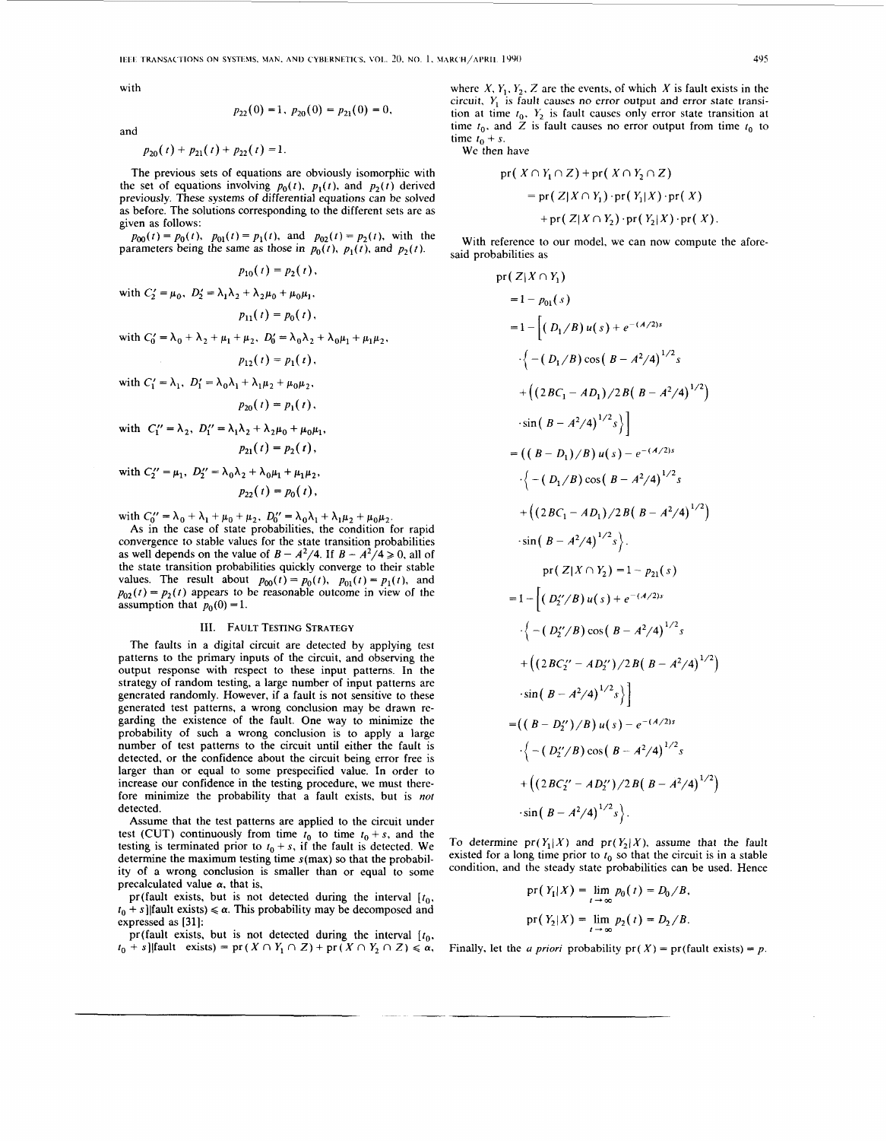with

$$
p_{22}(0) = 1, p_{20}(0) = p_{21}(0) = 0,
$$

and

$$
p_{20}(t) + p_{21}(t) + p_{22}(t) = 1.
$$

The previous sets of equations are obviously isomorphic with the set of equations involving  $p_0(t)$ ,  $p_1(t)$ , and  $p_2(t)$  derived previously. These systems of differential equations can be solved as before. The solutions corresponding to the different sets are as given as follows:

 $p_{00}(t) = p_0(t)$ ,  $p_{01}(t) = p_1(t)$ , and  $p_{02}(t) = p_2(t)$ , with the parameters being the same as those in  $p_0(t)$ ,  $p_1(t)$ , and  $p_2(t)$ .

 $p_{10}(t) = p_2(t)$ ,

with  $C'_2 = \mu_0$ ,  $D'_2 = \lambda_1 \lambda_2 + \lambda_2 \mu_0 + \mu_0 \mu_1$ ,

 $p_{11}(t) = p_0(t)$ ,

with  $C'_0 = \lambda_0 + \lambda_2 + \mu_1 + \mu_2$ ,  $D'_0 = \lambda_0 \lambda_2 + \lambda_0 \mu_1 + \mu_1 \mu_2$ .

 $p_{12}(t) = p_1(t)$ ,

with  $C'_1 = \lambda_1$ ,  $D'_1 = \lambda_0 \lambda_1 + \lambda_1 \mu_2 + \mu_0 \mu_2$ ,

$$
p_{20}(t)=p_1(t),
$$

 $p_{21}(t) = p_2(t)$ , with  $C_1'' = \lambda_2$ ,  $D_1'' = \lambda_1 \lambda_2 + \lambda_2 \mu_0 + \mu_0 \mu_1$ ,

with 
$$
C_2'' = \mu_1
$$
,  $D_2'' = \lambda_0 \lambda_2 + \lambda_0 \mu_1 + \mu_1 \mu_2$ ,  
 $p_{22}(t) = p_0(t)$ ,

with  $C_0'' = \lambda_0 + \lambda_1 + \mu_0 + \mu_2$ ,  $D_0'' = \lambda_0 \lambda_1 + \lambda_1 \mu_2 + \mu_0 \mu_2$ .

As in the case of state probabilities, the condition for rapid convergence to stable values for the state transition probabilities as well depends on the value of  $B - A^2/4$ . If  $B - A^2/4 \ge 0$ , all of the state transition probabilities quickly converge to their stable values. The result about  $p_{00}(t) = p_0(t)$ ,  $p_{01}(t) = p_1(t)$ , and  $p_{02}(t) = p_2(t)$  appears to be reasonable outcome in view of the assumption that  $p_0(0) = 1$ .

## **111. FAULT TESTING STRATEGY**

The faults in a digital circuit are detected by applying test patterns to the primary inputs of the circuit, and observing the output response with respect to these input patterns. In the strategy of random testing, a large number of input patterns are generated randomly. However, if a fault is not sensitive to these generated test patterns, a wrong conclusion may be drawn regarding the existence of the fault. One way to minimize the probability of such a wrong conclusion is to apply a large number of test patterns to the circuit until either the fault is detected, or the confidence about the circuit being error free is larger than or equal to some prespecified value. In order to increase our confidence in the testing procedure, we must therefore minimize the probability that a fault exists, but is *not*  detected.

Assume that the test patterns are applied to the circuit under test (CUT) continuously from time  $t_0$  to time  $t_0 + s$ , and the testing is terminated prior to  $t_0 + s$ , if the fault is detected. We determine the maximum testing time  $s$ (max) so that the probability of a wrong conclusion is smaller than or equal to some precalculated value  $\alpha$ , that is,

pr(fault exists, but is not detected during the interval  $[t_0,$  $t_0 + s$  | fault exists)  $\le \alpha$ . This probability may be decomposed and expressed as [31]:

pr(fault exists, but is not detected during the interval  $[t_0, t_0 + s]$  fault exists) = pr( $X \cap Y_1 \cap Z$ ) + pr( $X \cap Y_2 \cap Z$ )  $\le \alpha$ ,

where  $X, Y_1, Y_2, Z$  are the events, of which  $X$  is fault exists in the circuit.  $Y_1$  is fault causes no error output and error state transition at time  $t_0$ ,  $Y_2$  is fault causes only error state transition at time  $t_0$ , and Z is fault causes no error output from time  $t_0$  to time  $t_0 + s$ .

We then have

$$
pr(X \cap Y_1 \cap Z) + pr(X \cap Y_2 \cap Z)
$$
  
= 
$$
pr(Z|X \cap Y_1) \cdot pr(Y_1|X) \cdot pr(X)
$$
  
+ 
$$
pr(Z|X \cap Y_2) \cdot pr(Y_2|X) \cdot pr(X).
$$

With reference to our model, we can now compute the aforesaid probabilities as

pr(
$$
Z|X \cap Y_1
$$
)  
\n= 1 - p<sub>01</sub>(s)  
\n= 1 -  $\left[ (D_1/B) u(s) + e^{-(A/2)s} + (- (D_1/B) \cos (B - A^2/4)^{1/2} s + ((2BC_1 - AD_1)/2B (B - A^2/4)^{1/2}) \right]$   
\n $\cdot \sin (B - A^2/4)^{1/2}s$ }  
\n= ((B - D\_1)/B) u(s) - e^{-(A/2)s} + (- (D\_1/B) \cos (B - A^2/4)^{1/2}s + ((2BC\_1 - AD\_1)/2B (B - A^2/4)^{1/2})  
\n $\cdot \sin (B - A^2/4)^{1/2}s$ }  
\npr( $Z|X \cap Y_2$ ) = 1 - p<sub>21</sub>(s)  
\n= 1 -  $\left[ (D_2''/B) u(s) + e^{-(A/2)s} + (- (D_2''/B) \cos (B - A^2/4)^{1/2}s + ((2BC_2'' - AD_2'')/2B (B - A^2/4)^{1/2}) \right]$   
\n $\cdot \sin (B - A^2/4)^{1/2}s$ }  
\n= ((B - D\_2'')/B) u(s) - e^{-(A/2)s} + (- (D\_2''/B) \cos (B - A^2/4)^{1/2})  
\n $\cdot \left\{ -(D_2''/B) \cos (B - A^2/4)^{1/2}s \right\}$   
\n+  $\left( (2BC_2'' - AD_2'')/2B (B - A^2/4)^{1/2} \right)$   
\n $\cdot \sin (B - A^2/4)^{1/2}s$ .

To determine  $pr(Y_1|X)$  and  $pr(Y_2|X)$ , assume that the fault existed for a long time prior to  $t_0$  so that the circuit is in a stable condition, and the steady state probabilities can be used. Hence

$$
\text{pr}(Y_1|X) = \lim_{t \to \infty} p_0(t) = D_0/B,
$$
\n
$$
\text{pr}(Y_2|X) = \lim_{t \to \infty} p_2(t) = D_2/B.
$$

Finally, let the *a priori* probability  $pr(X) = pr(fault exists) = p$ .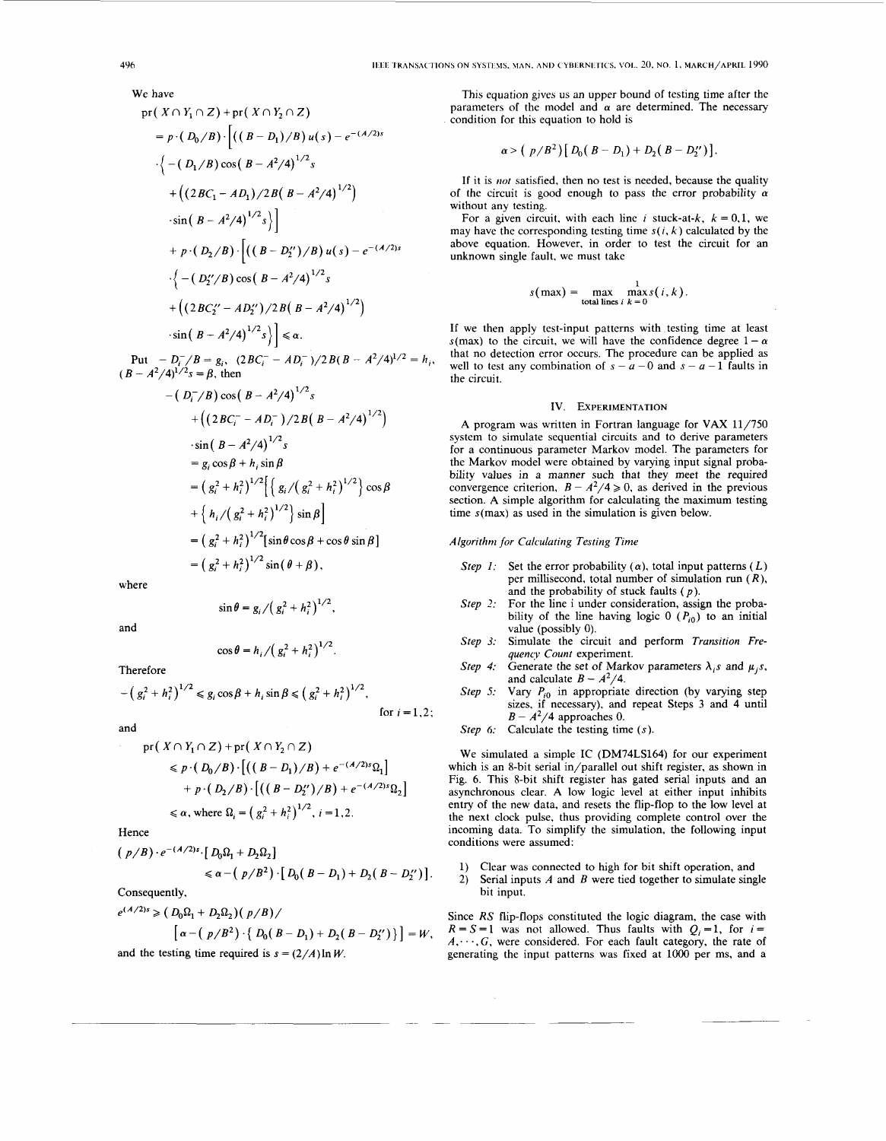We have  
\n
$$
\text{pr}(X \cap Y_1 \cap Z) + \text{pr}(X \cap Y_2 \cap Z)
$$
\n
$$
= p \cdot (D_0/B) \cdot \left[ ((B - D_1)/B) u(s) - e^{-(A/2)s} + \left\{ -(D_1/B) \cos (B - A^2/4)^{1/2} s + ((2BC_1 - AD_1)/2B (B - A^2/4)^{1/2}) \right\} \right]
$$
\n
$$
+ \sin (B - A^2/4)^{1/2} s \}
$$
\n
$$
+ p \cdot (D_2/B) \cdot \left[ ((B - D_2'')/B) u(s) - e^{-(A/2)s} + (- (D_2'')/B) \cos (B - A^2/4)^{1/2} s + ((2BC_2' - AD_2'')/2B (B - A^2/4)^{1/2}) \right]
$$
\n
$$
- \sin (B - A^2/4)^{1/2} s \}
$$
\n
$$
\left[ (B - A^2/4)^{1/2} s \right] \le \alpha.
$$

$$
-(D_i^-/B)\cos((B - A^2/4)^{1/2}s
$$
  
+ 
$$
((2BC_i^- - AD_i^-)/2B(B - A^2/4)^{1/2})
$$
  
sin $(B - A^2/4)^{1/2}s$   
=  $g_i \cos \beta + h_i \sin \beta$   
=  $(g_i^2 + h_i^2)^{1/2} \Biggl\{ g_i / (g_i^2 + h_i^2)^{1/2} \Biggr\} \cos \beta$   
+ 
$$
\Biggl\{ h_i / (g_i^2 + h_i^2)^{1/2} \Biggl\} \sin \beta \Biggr]
$$
  
= 
$$
(g_i^2 + h_i^2)^{1/2} [\sin \theta \cos \beta + \cos \theta \sin \beta]
$$
  
= 
$$
(g_i^2 + h_i^2)^{1/2} \sin(\theta + \beta),
$$

where

$$
\sin \theta = g_i / (g_i^2 + h_i^2)^{1/2}
$$

and

$$
\cos \theta = h_i / (g_i^2 + h_i^2)^{1/2}.
$$

for  $i = 1, 2$ ;

Therefore

 $-\left(g_i^2+h_i^2\right)^{1/2}\leq g_i\cos\beta+h_i\sin\beta\leq \left(g_i^2+h_i^2\right)^{1/2},$ 

and

$$
\begin{aligned} \text{pr} \left( \, X \cap Y_1 \cap Z \right) + \text{pr} \left( \, X \cap Y_2 \cap Z \right) \\ &\leq p \cdot \left( \, D_0 \, / \, B \right) \cdot \left[ \left( \, ( \, B - D_1 \, ) \, / \, B \, \right) + e^{- \left( \, A \, / \, 2 \right) s} \Omega_1 \right] \\ &\quad + \, p \cdot \left( \, D_2 \, / \, B \right) \cdot \left[ \left( \, ( \, B - D_2'') \, / \, B \, \right) + e^{- \left( \, A \, / \, 2 \right) s} \Omega_2 \right] \\ &\leq \alpha, \text{ where } \Omega_i = \left( \, g_i^2 + h_i^2 \right)^{1/2}, \, i = 1, 2. \end{aligned}
$$

Hence

 $(p/B) \cdot e^{-}$ 

$$
\langle A/2 \rangle s \cdot [D_0 \Omega_1 + D_2 \Omega_2] \n\le \alpha - (p/B^2) \cdot [D_0 (B - D_1) + D_2 (B - D_2')] .
$$

Consequently,

$$
e^{(A/2)s} \ge (D_0 \Omega_1 + D_2 \Omega_2) (p/B) /
$$
  
\n
$$
\left[ \alpha - (p/B^2) \cdot \{ D_0 (B - D_1) + D_2 (B - D_2'') \} \right] = W,
$$
  
\nand the testing time required is  $s = (2/A) \ln W$ .

This equation gives us an upper bound of testing time after the parameters of the model and  $\alpha$  are determined. The necessary condition for this equation to hold is

$$
\alpha > (p/B^{2}) [D_{0}(B-D_{1})+D_{2}(B-D_{2}^{\prime\prime})].
$$

If it is *not* satisfied. then no test is needed, because the quality of the circuit is good enough to pass the error probability  $\alpha$ without any testing.

For a given circuit, with each line i stuck-at- $k$ ,  $k = 0.1$ , we may have the corresponding testing time  $s(i, k)$  calculated by the above equation. However, in order to test the circuit for an unknown single fault. we must take

$$
s(\max) = \max_{\text{total lines } i} \max_{k=0}^{1} s(i,k).
$$

If we then apply test-input patterns with testing time at least s(max) to the circuit, we will have the confidence degree  $1 - \alpha$ that no detection error occurs. The procedure can be applied as well to test any combination of  $s - a - 0$  and  $s - a - 1$  faults in the circuit. Put  $-D_i^-/B = g_i$ ,  $(2BC_i^- - AD_i^-)/2B(B - A^2/4)^{1/2} = h_i$ , that no detection error occurs. The procedure can be applied as well to test any combination of  $s - a - 0$  and  $s - a - 1$  faults in the circuit.

#### IV. **EXPERIMENTATION**

**A** program was written in Fortran language for VAX 11/750 system to simulate sequential circuits and to derive parameters for a continuous parameter Markov model. The parameters for the Markov model were obtained by varying input signal probability values in a manner such that they meet the required convergence criterion,  $B - A^2/4 \ge 0$ , as derived in the previous section. **A** simple algorithm for calculating the maximum testing time  $s$ (max) as used in the simulation is given below.

# Algorithni *for* Culculuting Testing *Time*

- *Step 1:* Set the error probability  $(\alpha)$ , total input patterns  $(L)$ per millisecond, total number of simulation run *(R),*  and the probability of stuck faults *(p).*
- For the line i under consideration, assign the probability of the line having logic 0  $(P_{i0})$  to an initial value (possibly 0). *Step 2:*
- *Step 3:* Simulate the circuit and perform *Transition Frequency Count* experiment.
- *Step 4:* Generate the set of Markov parameters  $\lambda_i$ s and  $\mu_i$ s, and calculate  $B - A^2/4$ .
- *Step 5:* Vary  $P_{i0}$  in appropriate direction (by varying step sizes, if necessary), and repeat Steps **3** and 4 until  $B - A^2/4$  approaches 0.

Step 6: Calculate the testing time 
$$
(s)
$$
.

We simulated a simple IC (DM74LS164) for our experiment which is an 8-bit serial in/parallel out shift register, as shown in [Fig. 6.](#page-7-0) This 8-bit shift register has gated serial inputs and an asynchronous clear. **A** low logic level at either input inhibits entry of the new data, and resets the flip-flop to the low level at the next clock pulse, thus providing complete control over the incoming data. To simplify the simulation, the following input conditions were assumed:

- 1) Clear was connected to high for bit shift operation, and
- 2) Serial inputs A and B were tied together to simulate single bit input.

Since *RS* flip-flops constituted the logic diagram, the case with  $R = S = 1$  was not allowed. Thus faults with  $Q_i = 1$ , for  $i =$ A;. *.,G,* were considered. For each fault category, the rate of generating the input patterns was fixed at lo00 per ms, and a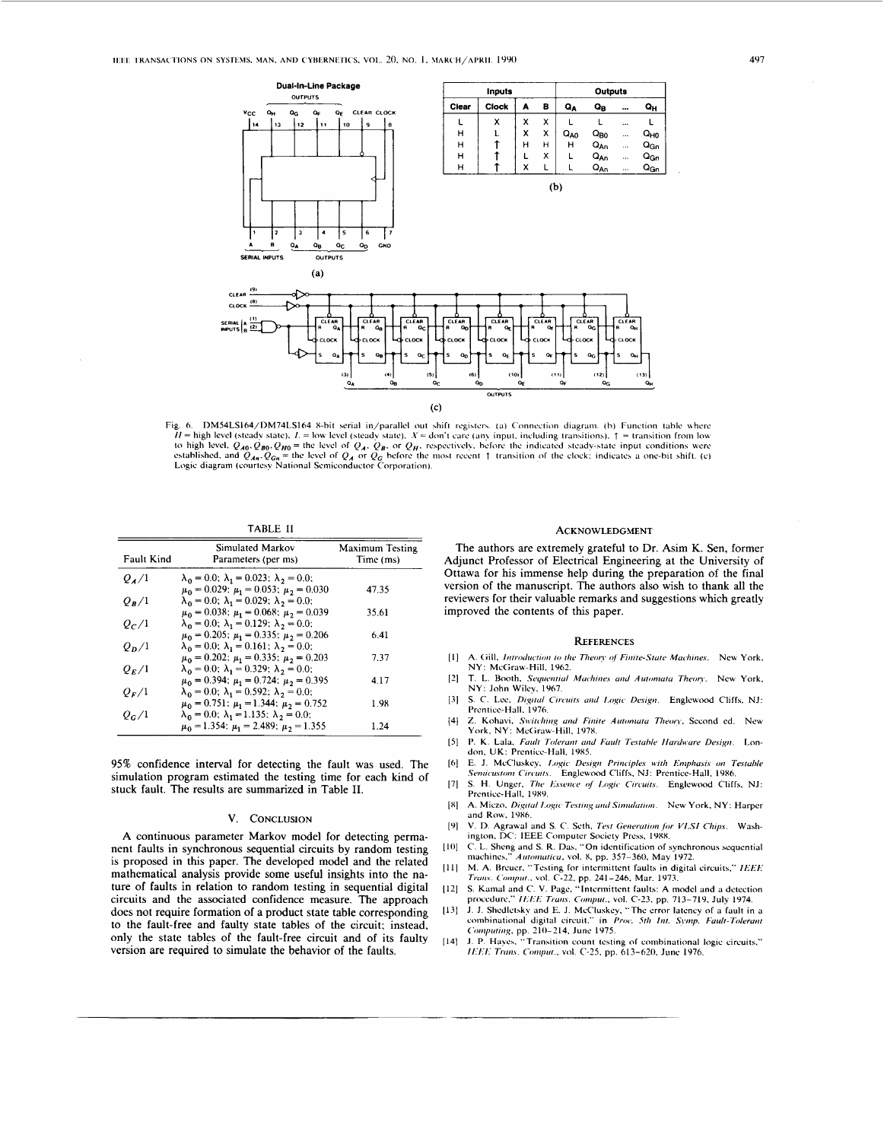<span id="page-7-0"></span>

Fig. 6. DM54LS164/DM74LS164 8-bit serial in/parallel out shift registers. (a) Connection diagram. (b) Function table where  $H = \text{high level}$  (steady state),  $L = \text{low level}$  (steady state),  $X = \text{don't care}$  (any input, including transition

**TABLE II** 

| <b>Fault Kind</b> | Simulated Markov<br>Parameters (per ms)                                                                           | Maximum Testing<br>Time (ms) |
|-------------------|-------------------------------------------------------------------------------------------------------------------|------------------------------|
| $O_{\bullet}/1$   | $\lambda_0 = 0.0; \lambda_1 = 0.023; \lambda_2 = 0.0;$                                                            |                              |
|                   | $\mu_0 = 0.029$ ; $\mu_1 = 0.053$ ; $\mu_2 = 0.030$                                                               | 47.35                        |
| $Q_{\rm R}/1$     | $\lambda_0 = 0.0; \ \lambda_1 = 0.029; \ \lambda_2 = 0.0;$<br>$\mu_0 = 0.038$ ; $\mu_1 = 0.068$ ; $\mu_2 = 0.039$ | 35.61                        |
| $Q_c/l$           | $\lambda_0 = 0.0; \lambda_1 = 0.129; \lambda_2 = 0.0;$                                                            |                              |
| $Q_p/1$           | $\mu_0 = 0.205$ ; $\mu_1 = 0.335$ ; $\mu_2 = 0.206$<br>$\lambda_0 = 0.0; \lambda_1 = 0.161; \lambda_2 = 0.0;$     | 6.41                         |
|                   | $\mu_0 = 0.202$ ; $\mu_1 = 0.335$ ; $\mu_2 = 0.203$                                                               | 7.37                         |
| $Q_{\rm F}/1$     | $\lambda_0 = 0.0; \lambda_1 = 0.329; \lambda_2 = 0.0;$                                                            |                              |
| $O_F/1$           | $\mu_0 = 0.394$ ; $\mu_1 = 0.724$ ; $\mu_2 = 0.395$<br>$\lambda_0 = 0.0; \ \lambda_1 = 0.592; \ \lambda_2 = 0.0;$ | 4.17                         |
|                   | $\mu_0 = 0.751$ ; $\mu_1 = 1.344$ ; $\mu_2 = 0.752$                                                               | 1.98                         |
| $Q_c/l$           | $\lambda_0 = 0.0; \lambda_1 = 1.135; \lambda_2 = 0.0;$                                                            |                              |
|                   | $\mu_0 = 1.354$ ; $\mu_1 = 2.489$ ; $\mu_2 = 1.355$                                                               | 1.24                         |

95% confidence interval for detecting the fault was used. The simulation program estimated the testing time for each kind of stuck fault. The results are summarized in Table II.

### V. CONCLUSION

A continuous parameter Markov model for detecting permanent faults in synchronous sequential circuits by random testing is proposed in this paper. The developed model and the related mathematical analysis provide some useful insights into the nature of faults in relation to random testing in sequential digital circuits and the associated confidence measure. The approach does not require formation of a product state table corresponding to the fault-free and faulty state tables of the circuit; instead, only the state tables of the fault-free circuit and of its faulty version are required to simulate the behavior of the faults

#### **ACKNOWLEDGMENT**

The authors are extremely grateful to Dr. Asim K. Sen, former Adjunct Professor of Electrical Engineering at the University of Ottawa for his immense help during the preparation of the final version of the manuscript. The authors also wish to thank all the reviewers for their valuable remarks and suggestions which greatly improved the contents of this paper.

#### **REFERENCES**

- [1] A. Gill, Introduction to the Theory of Finite-State Machines. New York, NY: McGraw-Hill, 1962
- $[2]$ T. L. Booth, Sequential Machines and Automata Theory. New York. NY: John Wiley, 1967.
- S. C. Lee, Digital Circuits and Logic Design. Englewood Cliffs, NJ:  $[3]$ Prentice-Hall, 1976.
- $[4]$ Z. Kohavi, Switching and Finite Automata Theory, Second ed. New York, NY: McGraw-Hill, 1978
- P. K. Lala, Fault Tolerant and Fault Testable Hardware Design. Lon- $[5]$ don, UK: Prentice-Hall, 1985.
- E. J. McCluskey, Logic Design Principles with Emphasis on Testable Semicustom Circuits. Englewood Cliffs, NJ: Prentice-Hall, 1986.  $[6]$
- $[7]$ S. H. Unger, The Essence of Logic Circuits. Englewood Cliffs, NJ: Prentice-Hall, 1989
- $[8]$ A. Miczo, Digital Logic Testing and Simulation. New York, NY: Harper and Row, 1986.
- V. D. Agrawal and S. C. Seth, Test Generation for VLSI Chips. Wash- $[9]$ ington, DC: IEEE Computer Society Press, 1988.
- C. L. Sheng and S. R. Das, "On identification of synchronous sequential machines," Automatica, vol. 8, pp. 357-360, May 1972.  $[10]$
- $(111)$ M. A. Breuer, "Testing for intermittent faults in digital circuits," IEEE Trans. Comput., vol. C-22, pp. 241-246, Mar. 1973
- S. Kamal and C. V. Page, "Intermittent faults: A model and a detection  $[12]$ Exercise of the Secretary Computer values. A mixed and secretary procedure." TEEE Trans. Comput, vol. C-23, pp. 713–719, July 1974.<br>J. J. Shedletsky and E. J. McCluskey, "The error latency of a fault in a  $[13]$
- combinational digital circuit," in Proc. 5th Int. Symp. Fault-Tolerant  $[14]$
- Computing, pp. 210–214, June 1975.<br>
J. P. Hayes, "Transition count testing of combinational logic circuits,"<br>
J. P. Hayes, "Transition count testing of combinational logic circuits,"<br>
IEEE Trans. Comput., vol. C-25, pp. 61